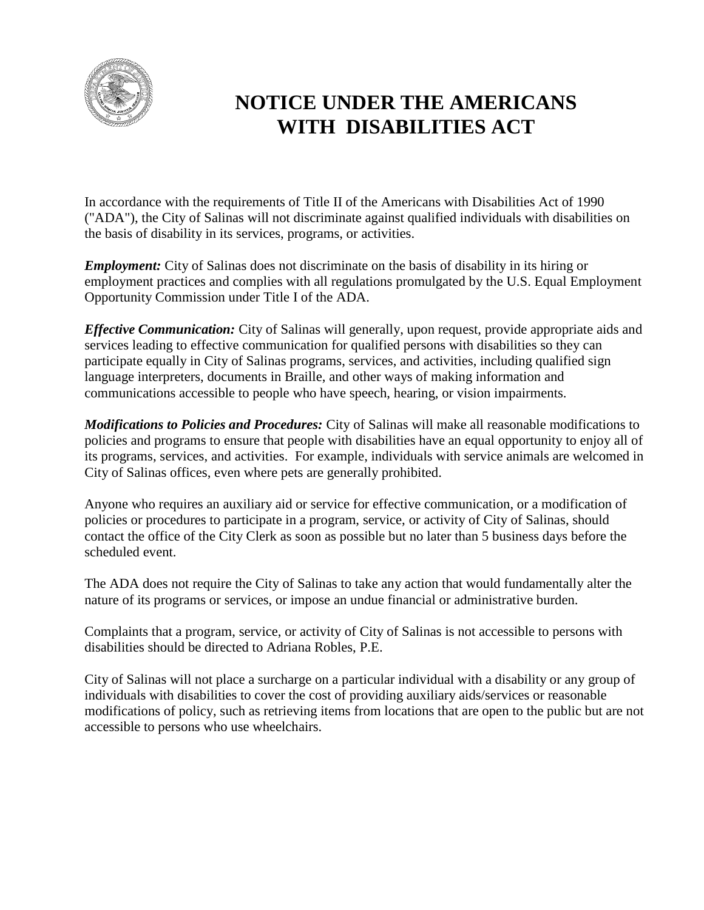

# **NOTICE UNDER THE AMERICANS WITH DISABILITIES ACT**

In accordance with the requirements of Title II of the Americans with Disabilities Act of 1990 ("ADA"), the City of Salinas will not discriminate against qualified individuals with disabilities on the basis of disability in its services, programs, or activities.

*Employment:* City of Salinas does not discriminate on the basis of disability in its hiring or employment practices and complies with all regulations promulgated by the U.S. Equal Employment Opportunity Commission under Title I of the ADA.

*Effective Communication:* City of Salinas will generally, upon request, provide appropriate aids and services leading to effective communication for qualified persons with disabilities so they can participate equally in City of Salinas programs, services, and activities, including qualified sign language interpreters, documents in Braille, and other ways of making information and communications accessible to people who have speech, hearing, or vision impairments.

*Modifications to Policies and Procedures:* City of Salinas will make all reasonable modifications to policies and programs to ensure that people with disabilities have an equal opportunity to enjoy all of its programs, services, and activities. For example, individuals with service animals are welcomed in City of Salinas offices, even where pets are generally prohibited.

Anyone who requires an auxiliary aid or service for effective communication, or a modification of policies or procedures to participate in a program, service, or activity of City of Salinas, should contact the office of the City Clerk as soon as possible but no later than 5 business days before the scheduled event.

The ADA does not require the City of Salinas to take any action that would fundamentally alter the nature of its programs or services, or impose an undue financial or administrative burden.

Complaints that a program, service, or activity of City of Salinas is not accessible to persons with disabilities should be directed to Adriana Robles, P.E.

City of Salinas will not place a surcharge on a particular individual with a disability or any group of individuals with disabilities to cover the cost of providing auxiliary aids/services or reasonable modifications of policy, such as retrieving items from locations that are open to the public but are not accessible to persons who use wheelchairs.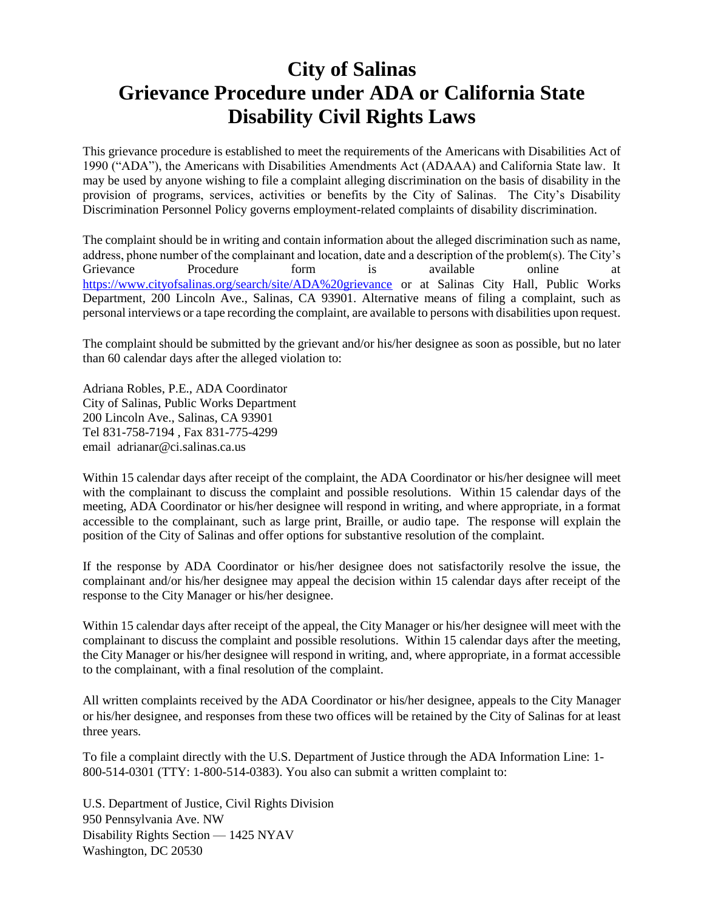## **City of Salinas Grievance Procedure under ADA or California State Disability Civil Rights Laws**

This grievance procedure is established to meet the requirements of the Americans with Disabilities Act of 1990 ("ADA"), the Americans with Disabilities Amendments Act (ADAAA) and California State law. It may be used by anyone wishing to file a complaint alleging discrimination on the basis of disability in the provision of programs, services, activities or benefits by the City of Salinas. The City's Disability Discrimination Personnel Policy governs employment-related complaints of disability discrimination.

The complaint should be in writing and contain information about the alleged discrimination such as name, address, phone number of the complainant and location, date and a description of the problem(s). The City's Grievance Procedure form is available online at <https://www.cityofsalinas.org/search/site/ADA%20grievance> or at Salinas City Hall, Public Works Department, 200 Lincoln Ave., Salinas, CA 93901. Alternative means of filing a complaint, such as personal interviews or a tape recording the complaint, are available to persons with disabilities upon request.

The complaint should be submitted by the grievant and/or his/her designee as soon as possible, but no later than 60 calendar days after the alleged violation to:

Adriana Robles, P.E., ADA Coordinator City of Salinas, Public Works Department 200 Lincoln Ave., Salinas, CA 93901 Tel 831-758-7194 , Fax 831-775-4299 email adrianar@ci.salinas.ca.us

Within 15 calendar days after receipt of the complaint, the ADA Coordinator or his/her designee will meet with the complainant to discuss the complaint and possible resolutions. Within 15 calendar days of the meeting, ADA Coordinator or his/her designee will respond in writing, and where appropriate, in a format accessible to the complainant, such as large print, Braille, or audio tape. The response will explain the position of the City of Salinas and offer options for substantive resolution of the complaint.

If the response by ADA Coordinator or his/her designee does not satisfactorily resolve the issue, the complainant and/or his/her designee may appeal the decision within 15 calendar days after receipt of the response to the City Manager or his/her designee.

Within 15 calendar days after receipt of the appeal, the City Manager or his/her designee will meet with the complainant to discuss the complaint and possible resolutions. Within 15 calendar days after the meeting, the City Manager or his/her designee will respond in writing, and, where appropriate, in a format accessible to the complainant, with a final resolution of the complaint.

All written complaints received by the ADA Coordinator or his/her designee, appeals to the City Manager or his/her designee, and responses from these two offices will be retained by the City of Salinas for at least three years.

To file a complaint directly with the U.S. Department of Justice through the ADA Information Line: [1-](tel:1-800-514-0301) [800-514-0301](tel:1-800-514-0301) (TTY: [1-800-514-0383\)](tel:1-800-514-0383). You also can submit a written complaint to:

U.S. Department of Justice, Civil Rights Division 950 Pennsylvania Ave. NW Disability Rights Section — 1425 NYAV Washington, DC 20530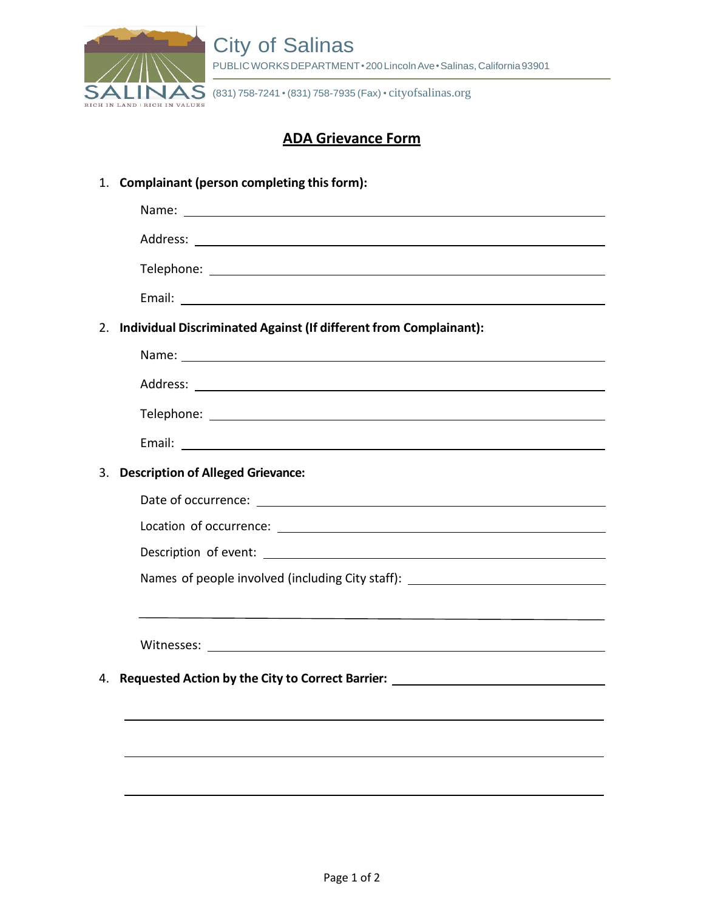

 $\overline{\mathsf{MS}}$  (831) 758-7241 • (831) 758-7935 (Fax) • cityofsalinas.org

#### **ADA Grievance Form**

1. **Complainant (person completing thisform):**

| 2. | Individual Discriminated Against (If different from Complainant):                                                     |
|----|-----------------------------------------------------------------------------------------------------------------------|
|    |                                                                                                                       |
|    |                                                                                                                       |
|    |                                                                                                                       |
|    |                                                                                                                       |
| 3. | <b>Description of Alleged Grievance:</b>                                                                              |
|    |                                                                                                                       |
|    |                                                                                                                       |
|    |                                                                                                                       |
|    | Names of people involved (including City staff): _______________________________                                      |
|    | <u> 1989 - Johann Stoff, deutscher Stoff, der Stoff, der Stoff, der Stoff, der Stoff, der Stoff, der Stoff, der S</u> |
|    |                                                                                                                       |
| 4. | Requested Action by the City to Correct Barrier: _______________________________                                      |
|    |                                                                                                                       |
|    |                                                                                                                       |
|    |                                                                                                                       |
|    |                                                                                                                       |
|    |                                                                                                                       |